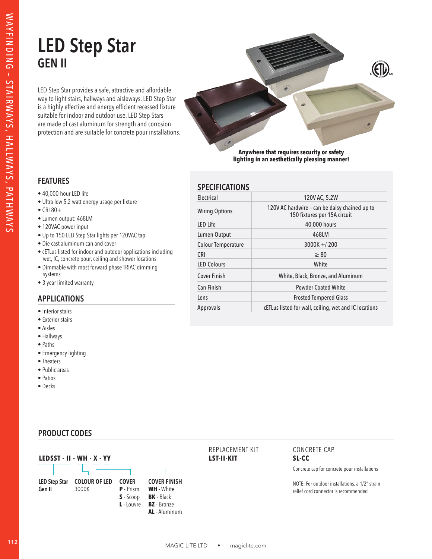# **LED Step Star GEN II**

LED Step Star provides a safe, attractive and affordable way to light stairs, hallways and aisleways. LED Step Star is a highly effective and energy efficient recessed fixture suitable for indoor and outdoor use. LED Step Stars are made of cast aluminum for strength and corrosion protection and are suitable for concrete pour installations.



**Anywhere that requires security or safety lighting in an aesthetically pleasing manner!**

### **FEATURES**

- 40,000-hour LED life
- Ultra low 5.2 watt energy usage per fixture
- CRI 80+
- Lumen output: 468LM
- 120VAC power input
- Up to 150 LED Step Star lights per 120VAC tap
- Die cast aluminum can and cover
- cETLus listed for indoor and outdoor applications including wet, IC, concrete pour, ceiling and shower locations
- Dimmable with most forward phase TRIAC dimming systems
- 3 year limited warranty

## **APPLICATIONS**

- Interior stairs
- Exterior stairs
- Aisles
- Hallways
- Paths
- Emergency lighting
- Theaters
- Public areas
- Patios
- Decks

# **SPECIFICATIONS**

| Electrical                | 120V AC, 5.2W                                                                 |
|---------------------------|-------------------------------------------------------------------------------|
| <b>Wiring Options</b>     | 120V AC hardwire - can be daisy chained up to<br>150 fixtures per 15A circuit |
| LED Life                  | 40,000 hours                                                                  |
| Lumen Output              | 468LM                                                                         |
| <b>Colour Temperature</b> | $3000K + 200$                                                                 |
| <b>CRI</b>                | $\geq 80$                                                                     |
| <b>LED Colours</b>        | White                                                                         |
| Cover Finish              | White, Black, Bronze, and Aluminum                                            |
| Can Finish                | <b>Powder Coated White</b>                                                    |
| Lens                      | <b>Frosted Tempered Glass</b>                                                 |
| Approvals                 | cETLus listed for wall, ceiling, wet and IC locations                         |

#### **PRODUCT CODES**



#### REPLACEMENT KIT **LST-II-KIT**

#### CONCRETE CAP **SL-CC**

Concrete cap for concrete pour installations

NOTE: For outdoor installations, a 1/2" strain relief cord connector is recommended